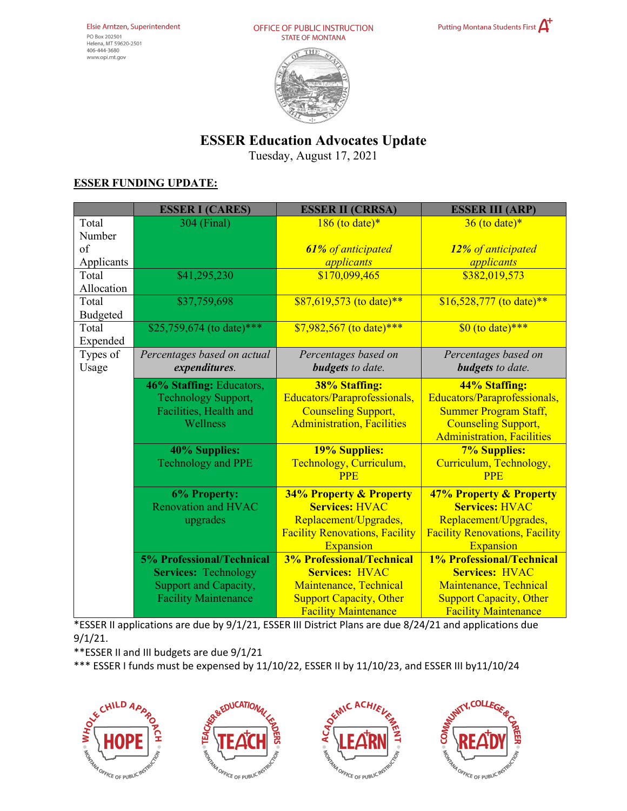



## **ESSER Education Advocates Update**

Tuesday, August 17, 2021

## **ESSER FUNDING UPDATE:**

|                 | <b>ESSER I (CARES)</b>           | <b>ESSER II (CRRSA)</b>               | <b>ESSER III (ARP)</b>                |
|-----------------|----------------------------------|---------------------------------------|---------------------------------------|
| Total           | 304 (Final)                      | $186$ (to date)*                      | $36$ (to date)*                       |
| Number          |                                  |                                       |                                       |
| of              |                                  | 61% of anticipated                    | 12% of anticipated                    |
| Applicants      |                                  | applicants                            | applicants                            |
| Total           | \$41,295,230                     | \$170,099,465                         | \$382,019,573                         |
| Allocation      |                                  |                                       |                                       |
| Total           | \$37,759,698                     | \$87,619,573 (to date)**              | $$16,528,777$ (to date)**             |
| <b>Budgeted</b> |                                  |                                       |                                       |
| Total           | \$25,759,674 (to date)***        | $$7,982,567$ (to date)***             | $\sqrt{$0$}$ (to date)***             |
| Expended        |                                  |                                       |                                       |
| Types of        | Percentages based on actual      | Percentages based on                  | Percentages based on                  |
| Usage           | expenditures.                    | <b>budgets</b> to date.               | <b>budgets</b> to date.               |
|                 | 46% Staffing: Educators,         | <b>38% Staffing:</b>                  | 44% Staffing:                         |
|                 | Technology Support,              | Educators/Paraprofessionals,          | Educators/Paraprofessionals,          |
|                 | Facilities, Health and           | <b>Counseling Support,</b>            | <b>Summer Program Staff,</b>          |
|                 | Wellness                         | <b>Administration, Facilities</b>     | <b>Counseling Support,</b>            |
|                 |                                  |                                       | <b>Administration</b> , Facilities    |
|                 | 40% Supplies:                    | <b>19% Supplies:</b>                  | <b>7% Supplies:</b>                   |
|                 | <b>Technology and PPE</b>        | Technology, Curriculum,               | Curriculum, Technology,               |
|                 |                                  | <b>PPE</b>                            | <b>PPE</b>                            |
|                 | 6% Property:                     | <b>34% Property &amp; Property</b>    | 47% Property & Property               |
|                 | <b>Renovation and HVAC</b>       | <b>Services: HVAC</b>                 | <b>Services: HVAC</b>                 |
|                 | upgrades                         | Replacement/Upgrades,                 | Replacement/Upgrades,                 |
|                 |                                  | <b>Facility Renovations, Facility</b> | <b>Facility Renovations, Facility</b> |
|                 |                                  | Expansion                             | <b>Expansion</b>                      |
|                 | <b>5% Professional/Technical</b> | <b>3% Professional/Technical</b>      | <b>1% Professional/Technical</b>      |
|                 | <b>Services: Technology</b>      | <b>Services: HVAC</b>                 | <b>Services: HVAC</b>                 |
|                 | Support and Capacity,            | Maintenance, Technical                | Maintenance, Technical                |
|                 | <b>Facility Maintenance</b>      | <b>Support Capacity, Other</b>        | <b>Support Capacity, Other</b>        |
|                 |                                  | <b>Facility Maintenance</b>           | <b>Facility Maintenance</b>           |

\*ESSER II applications are due by 9/1/21, ESSER III District Plans are due 8/24/21 and applications due 9/1/21.

\*\*ESSER II and III budgets are due 9/1/21

\*\*\* ESSER I funds must be expensed by 11/10/22, ESSER II by 11/10/23, and ESSER III by11/10/24